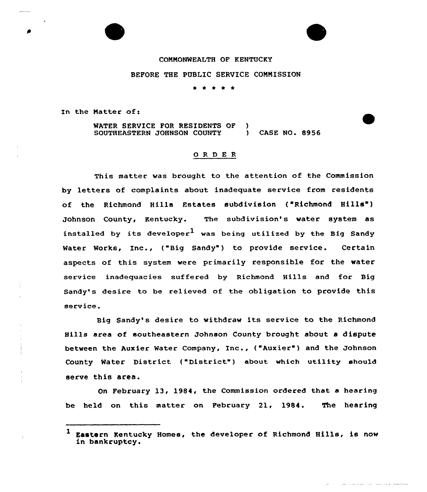## COMMONWEALTH OF KENTUCKY

## BEFORE THE PUBLIC SERVICE COMMISSION

kr \*

In the Matter  $of:$ 

MATER SERVICE FOR RESIDENTS OF SOUTHEASTERN JOHNSON COUNTY  $\mathbf{A}$ CASE NO. 8956

## 0 R <sup>D</sup> E R

This matter was brought to the attention of the Commission by letters of complaints about inadequate service from residents of the Richmond Hills Estates subdivision ("Richmond Hills" ) Johnson County, Kentucky. The subdivision's water system as installed by its developer<sup>1</sup> was being utilized by the Big Sandy Water Works, Inc., ("Big Sandy") to provide service. Certain aspects of this system were primarily responsible for the water service inadequacies suffered by Richmond Hills and for Big Sandy's desire to be relieved of the obligation to provide this service.

Big Sandy's desire to withdraw its service to the Richmond Hills area of southeastern Johnson County brought about a dispute between the Auxier Water Company, Inc., ("Auxier") and the Johnson County Water District ("District" ) about which utility should serve this area.

On February 13, 1984, the Commission ordered that. a hearing be held on this matter on February 21, 1984. The hearing

Eastern Kentucky Homes, the developer of Richmond Hills, is now in bankruptcy.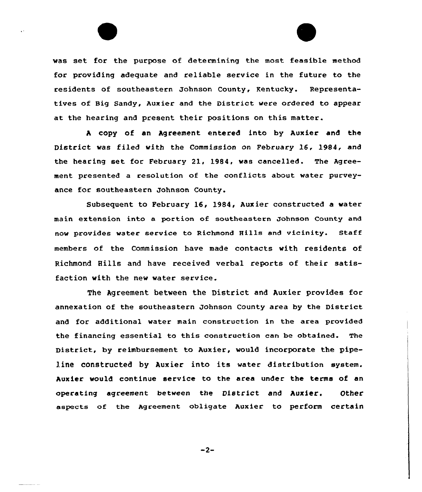was set for the purpose of determining the most feasible method for providing adequate and reliable service in the future to the residents of southeastern Johnson County, Kentucky. Representatives of Big Sandy, Auxier and the District were ordered to appear at the hearing and present their positions on this matter.

<sup>A</sup> copy of an Agreement entered into by Auxier and the District was filed with the Commission on February 16, 1984, and the hearing set for February 21, 1984, was cancelled. The Agreement presented a resolution of the conflicts about water purveyance for southeastern Johnson County.

Subsequent to February 16, 1984, Auxier constructed a water main extension into a portion of southeastern Johnson County and now provides water service to Richmond Hills and vicinity. Staff members of the Commission have made contacts with residents of Richmond Hills and have received verbal reports of their satisfaction with the new water service.

The Agreement between the District and Auxier provides for annexation of the southeastern Johnson County area by the District and for additional water main construction in the area provided the financing essential to this construction can be obtained. The District, by reimbursement to Auxier, would incorporate the pipeline constructed by Auxier into its water distribution system. Auxier would continue service to the area under the terms of an operating agreement between the District and Auxier. Other aspects of the Agreement obligate Auxier to perform certain

 $-2-$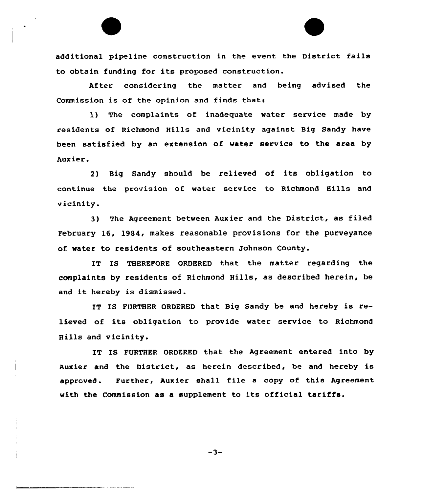additional pipeline construction in the event the District fails to obtain funding for its proposed construction.

After considering the matter and being advised the Commission is of the opinion and finds that:

1) The complaints of inadequate water service made by residents of Richmond Hills and vicinity against Big Sandy have been satisfied by an extension of water service to the area by Aux ier.

2) Big Sandy should be relieved of its obligation to continue the provision of water service to Richmond Hills and vicinity.

3) The Agreement between Auxier and the District, as filed February 16, 1984, makes reasonable provisions for the purveyance of water to residents of southeastern Johnson County.

IT IS THEREFORE ORDERED that the matter regarding the complaints by residents of Richmond Hills, as described herein, be and it hereby is dismissed.

IT IS FURTHER ORDERED that Big Sandy be and hereby is relieved of its obligation to provide water service to Richmond Hills and vicinity.

IT IS FURTHER ORDERED that the Agreement entered into by Auxier and the District, as herein described, be and hereby is apprcved. Further, Auxier shall file <sup>a</sup> copy of this Agreement with the Commission as <sup>a</sup> supplement to its official tariffs.

 $-3-$